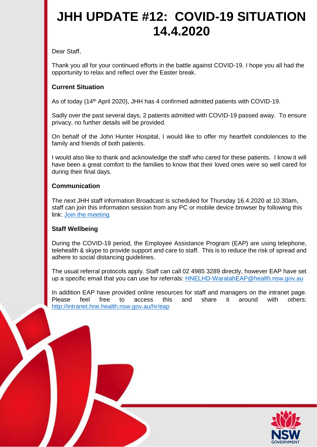## **JHH UPDATE #12: COVID-19 SITUATION 14.4.2020**

Dear Staff,

Thank you all for your continued efforts in the battle against COVID-19. I hope you all had the opportunity to relax and reflect over the Easter break.

## **Current Situation**

As of today (14th April 2020), JHH has 4 confirmed admitted patients with COVID-19.

Sadly over the past several days, 2 patients admitted with COVID-19 passed away. To ensure privacy, no further details will be provided.

On behalf of the John Hunter Hospital, I would like to offer my heartfelt condolences to the family and friends of both patients.

I would also like to thank and acknowledge the staff who cared for these patients. I know it will have been a great comfort to the families to know that their loved ones were so well cared for during their final days.

## **Communication**

The next JHH staff information Broadcast is scheduled for Thursday 16.4.2020 at 10.30am, staff can join this information session from any PC or mobile device browser by following this link: [Join the meeting.](https://join-apac.broadcast.skype.com/health.nsw.gov.au/4b85ffb0002e4a709cd64a34c7fe3e6e)

## **Staff Wellbeing**

During the COVID-19 period, the Employee Assistance Program (EAP) are using telephone, telehealth & skype to provide support and care to staff. This is to reduce the risk of spread and adhere to social distancing guidelines.

The usual referral protocols apply. Staff can call 02 4985 3289 directly, however EAP have set up a specific email that you can use for referrals: [HNELHD-WaratahEAP@health.nsw.gov.au](mailto:HNELHD-WaratahEAP@health.nsw.gov.au)

In addition EAP have provided online resources for staff and managers on the intranet page.<br>Please feel free to access this and share it around with others: Please feel free to access this and share it around with others: <http://intranet.hne.health.nsw.gov.au/hr/eap>